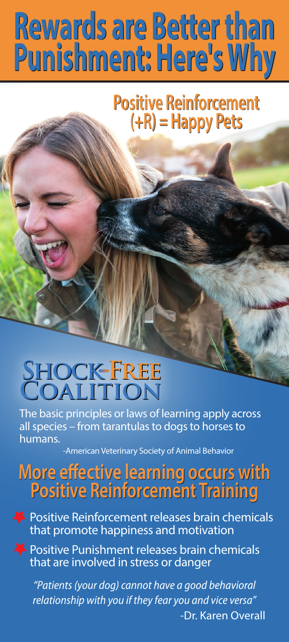# **France Better than <br>Punishment: Here's Why<br>Positive Reinforcement<br>(+R) = Happy Pets Punishment: Here's Why Punishment: Here's Why Rewards are Better than**

## **Positive Reinforcement Positive Reinforcement (+R) = Happy Pets**

## **Coalition Shock Free**

The basic principles or laws of learning apply across all species – from tarantulas to dogs to horses to humans.

-American Veterinary Society of Animal Behavior

#### **More eective learning occurs with Positive Reinforcement Training More effective learning occurs with Positive Reinforcement Training**

Positive Reinforcement releases brain chemicals that promote happiness and motivation

Positive Punishment releases brain chemicals that are involved in stress or danger

*"Patients (your dog) cannot have a good behavioral relationship with you if they fear you and vice versa"* -Dr. Karen Overall